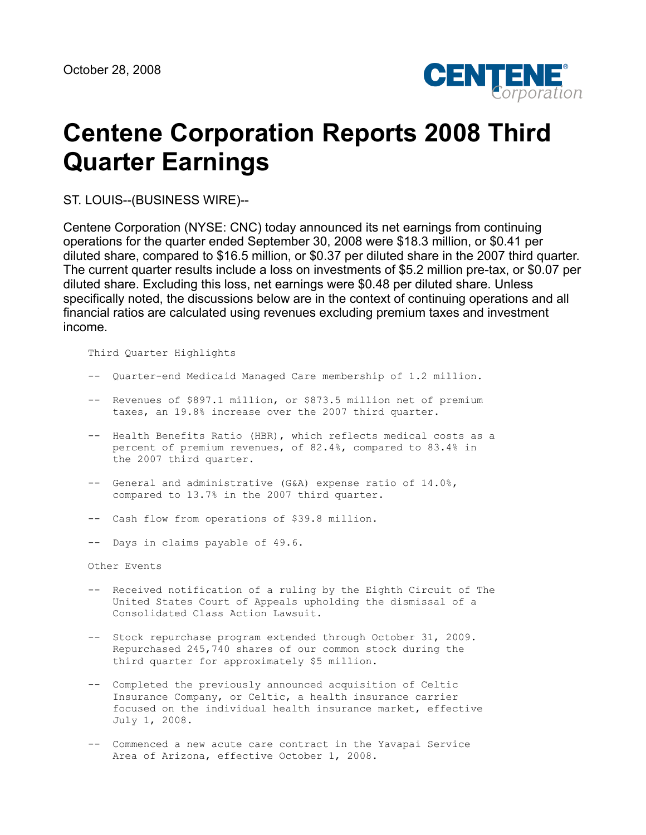

# **Centene Corporation Reports 2008 Third Quarter Earnings**

ST. LOUIS--(BUSINESS WIRE)--

Centene Corporation (NYSE: CNC) today announced its net earnings from continuing operations for the quarter ended September 30, 2008 were \$18.3 million, or \$0.41 per diluted share, compared to \$16.5 million, or \$0.37 per diluted share in the 2007 third quarter. The current quarter results include a loss on investments of \$5.2 million pre-tax, or \$0.07 per diluted share. Excluding this loss, net earnings were \$0.48 per diluted share. Unless specifically noted, the discussions below are in the context of continuing operations and all financial ratios are calculated using revenues excluding premium taxes and investment income.

Third Quarter Highlights

- -- Quarter-end Medicaid Managed Care membership of 1.2 million.
- -- Revenues of \$897.1 million, or \$873.5 million net of premium taxes, an 19.8% increase over the 2007 third quarter.
- -- Health Benefits Ratio (HBR), which reflects medical costs as a percent of premium revenues, of 82.4%, compared to 83.4% in the 2007 third quarter.
- -- General and administrative (G&A) expense ratio of 14.0%, compared to 13.7% in the 2007 third quarter.
- -- Cash flow from operations of \$39.8 million.
- -- Days in claims payable of 49.6.

Other Events

- -- Received notification of a ruling by the Eighth Circuit of The United States Court of Appeals upholding the dismissal of a Consolidated Class Action Lawsuit.
- -- Stock repurchase program extended through October 31, 2009. Repurchased 245,740 shares of our common stock during the third quarter for approximately \$5 million.
- -- Completed the previously announced acquisition of Celtic Insurance Company, or Celtic, a health insurance carrier focused on the individual health insurance market, effective July 1, 2008.
- -- Commenced a new acute care contract in the Yavapai Service Area of Arizona, effective October 1, 2008.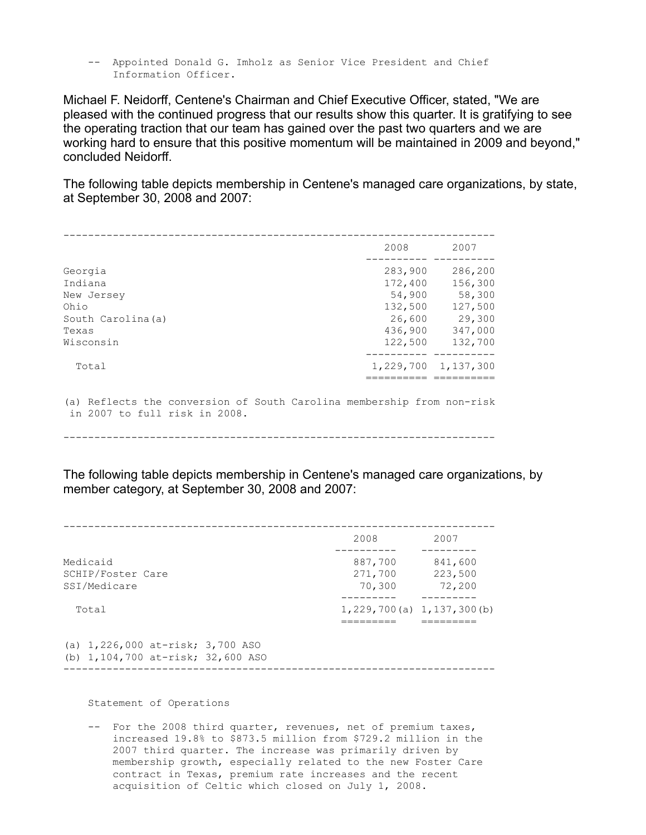-- Appointed Donald G. Imholz as Senior Vice President and Chief Information Officer.

Michael F. Neidorff, Centene's Chairman and Chief Executive Officer, stated, "We are pleased with the continued progress that our results show this quarter. It is gratifying to see the operating traction that our team has gained over the past two quarters and we are working hard to ensure that this positive momentum will be maintained in 2009 and beyond," concluded Neidorff.

The following table depicts membership in Centene's managed care organizations, by state, at September 30, 2008 and 2007:

|                                                                                                         | 2008               | 2007                |
|---------------------------------------------------------------------------------------------------------|--------------------|---------------------|
| Georgia<br>Indiana                                                                                      | 283,900<br>172,400 | 286,200<br>156,300  |
| New Jersey<br>Ohio                                                                                      | 54,900<br>132,500  | 58,300<br>127,500   |
| South Carolina (a)                                                                                      | 26,600             | 29,300              |
| Texas<br>Wisconsin                                                                                      | 436,900<br>122,500 | 347,000<br>132,700  |
| Total                                                                                                   |                    | 1,229,700 1,137,300 |
|                                                                                                         |                    |                     |
| (a) Reflects the conversion of South Carolina membership from non-risk<br>in 2007 to full risk in 2008. |                    |                     |

----------------------------------------------------------------------

The following table depicts membership in Centene's managed care organizations, by member category, at September 30, 2008 and 2007:

|                                                                           | 2008                                | 2007                         |
|---------------------------------------------------------------------------|-------------------------------------|------------------------------|
| Medicaid<br>SCHIP/Foster Care<br>SSI/Medicare                             | 887,700<br>271,700<br>70,300        | 841,600<br>223,500<br>72,200 |
| Total                                                                     | $1, 229, 700$ (a) $1, 137, 300$ (b) |                              |
| (a) $1,226,000$ at-risk; $3,700$ ASO<br>(b) 1,104,700 at-risk; 32,600 ASO |                                     |                              |

----------------------------------------------------------------------

Statement of Operations

 -- For the 2008 third quarter, revenues, net of premium taxes, increased 19.8% to \$873.5 million from \$729.2 million in the 2007 third quarter. The increase was primarily driven by membership growth, especially related to the new Foster Care contract in Texas, premium rate increases and the recent acquisition of Celtic which closed on July 1, 2008.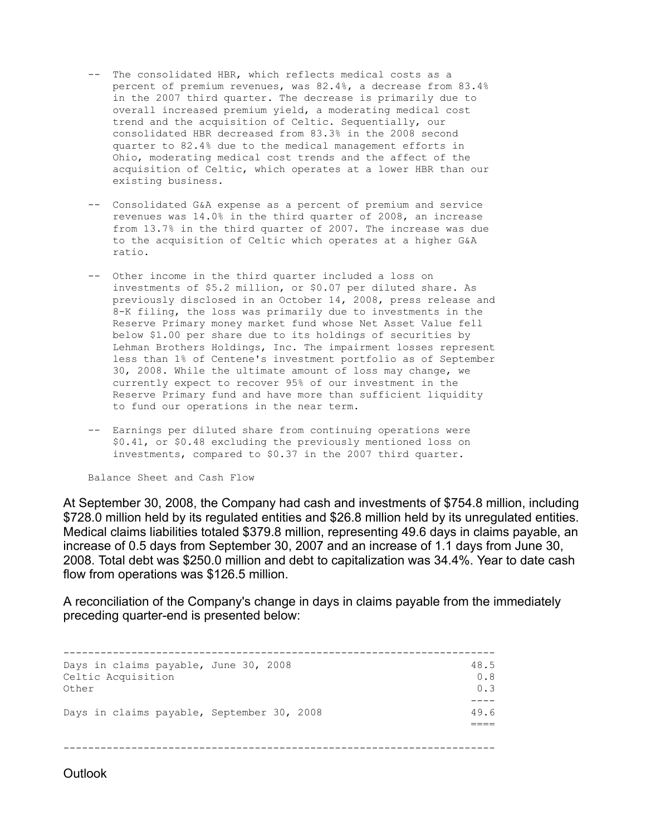- -- The consolidated HBR, which reflects medical costs as a percent of premium revenues, was 82.4%, a decrease from 83.4% in the 2007 third quarter. The decrease is primarily due to overall increased premium yield, a moderating medical cost trend and the acquisition of Celtic. Sequentially, our consolidated HBR decreased from 83.3% in the 2008 second quarter to 82.4% due to the medical management efforts in Ohio, moderating medical cost trends and the affect of the acquisition of Celtic, which operates at a lower HBR than our existing business.
- -- Consolidated G&A expense as a percent of premium and service revenues was 14.0% in the third quarter of 2008, an increase from 13.7% in the third quarter of 2007. The increase was due to the acquisition of Celtic which operates at a higher G&A ratio.
- -- Other income in the third quarter included a loss on investments of \$5.2 million, or \$0.07 per diluted share. As previously disclosed in an October 14, 2008, press release and 8-K filing, the loss was primarily due to investments in the Reserve Primary money market fund whose Net Asset Value fell below \$1.00 per share due to its holdings of securities by Lehman Brothers Holdings, Inc. The impairment losses represent less than 1% of Centene's investment portfolio as of September 30, 2008. While the ultimate amount of loss may change, we currently expect to recover 95% of our investment in the Reserve Primary fund and have more than sufficient liquidity to fund our operations in the near term.
- -- Earnings per diluted share from continuing operations were \$0.41, or \$0.48 excluding the previously mentioned loss on investments, compared to \$0.37 in the 2007 third quarter.

Balance Sheet and Cash Flow

At September 30, 2008, the Company had cash and investments of \$754.8 million, including \$728.0 million held by its regulated entities and \$26.8 million held by its unregulated entities. Medical claims liabilities totaled \$379.8 million, representing 49.6 days in claims payable, an increase of 0.5 days from September 30, 2007 and an increase of 1.1 days from June 30, 2008. Total debt was \$250.0 million and debt to capitalization was 34.4%. Year to date cash flow from operations was \$126.5 million.

A reconciliation of the Company's change in days in claims payable from the immediately preceding quarter-end is presented below:

| Days in claims payable, June 30, 2008<br>Celtic Acquisition<br>Other | 48.5<br>0.8<br>0.3 |
|----------------------------------------------------------------------|--------------------|
|                                                                      |                    |
| Days in claims payable, September 30, 2008                           | 49.6               |
|                                                                      |                    |
|                                                                      |                    |
|                                                                      |                    |
|                                                                      |                    |

**Outlook**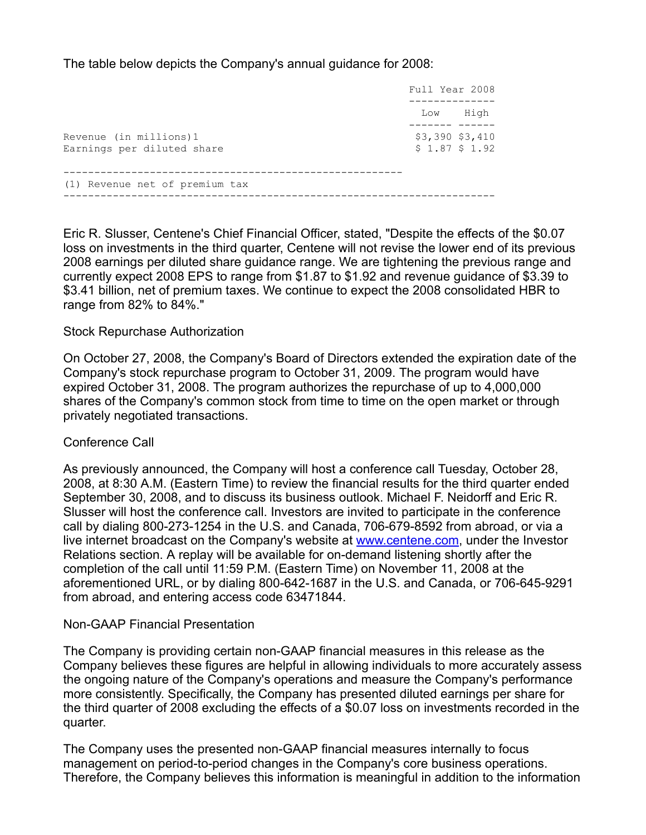The table below depicts the Company's annual guidance for 2008:

|                                                      | Full Year 2008 |                                      |
|------------------------------------------------------|----------------|--------------------------------------|
|                                                      | Low            | High                                 |
| Revenue (in millions)1<br>Earnings per diluted share |                | $$3,390$ $$3,410$<br>$$1.87$ $$1.92$ |
| (1) Revenue net of premium tax                       |                |                                      |

Eric R. Slusser, Centene's Chief Financial Officer, stated, "Despite the effects of the \$0.07 loss on investments in the third quarter, Centene will not revise the lower end of its previous 2008 earnings per diluted share guidance range. We are tightening the previous range and currently expect 2008 EPS to range from \$1.87 to \$1.92 and revenue guidance of \$3.39 to \$3.41 billion, net of premium taxes. We continue to expect the 2008 consolidated HBR to range from 82% to 84%."

# Stock Repurchase Authorization

On October 27, 2008, the Company's Board of Directors extended the expiration date of the Company's stock repurchase program to October 31, 2009. The program would have expired October 31, 2008. The program authorizes the repurchase of up to 4,000,000 shares of the Company's common stock from time to time on the open market or through privately negotiated transactions.

# Conference Call

As previously announced, the Company will host a conference call Tuesday, October 28, 2008, at 8:30 A.M. (Eastern Time) to review the financial results for the third quarter ended September 30, 2008, and to discuss its business outlook. Michael F. Neidorff and Eric R. Slusser will host the conference call. Investors are invited to participate in the conference call by dialing 800-273-1254 in the U.S. and Canada, 706-679-8592 from abroad, or via a live internet broadcast on the Company's website at [www.centene.com](http://www.centene.com/), under the Investor Relations section. A replay will be available for on-demand listening shortly after the completion of the call until 11:59 P.M. (Eastern Time) on November 11, 2008 at the aforementioned URL, or by dialing 800-642-1687 in the U.S. and Canada, or 706-645-9291 from abroad, and entering access code 63471844.

## Non-GAAP Financial Presentation

The Company is providing certain non-GAAP financial measures in this release as the Company believes these figures are helpful in allowing individuals to more accurately assess the ongoing nature of the Company's operations and measure the Company's performance more consistently. Specifically, the Company has presented diluted earnings per share for the third quarter of 2008 excluding the effects of a \$0.07 loss on investments recorded in the quarter.

The Company uses the presented non-GAAP financial measures internally to focus management on period-to-period changes in the Company's core business operations. Therefore, the Company believes this information is meaningful in addition to the information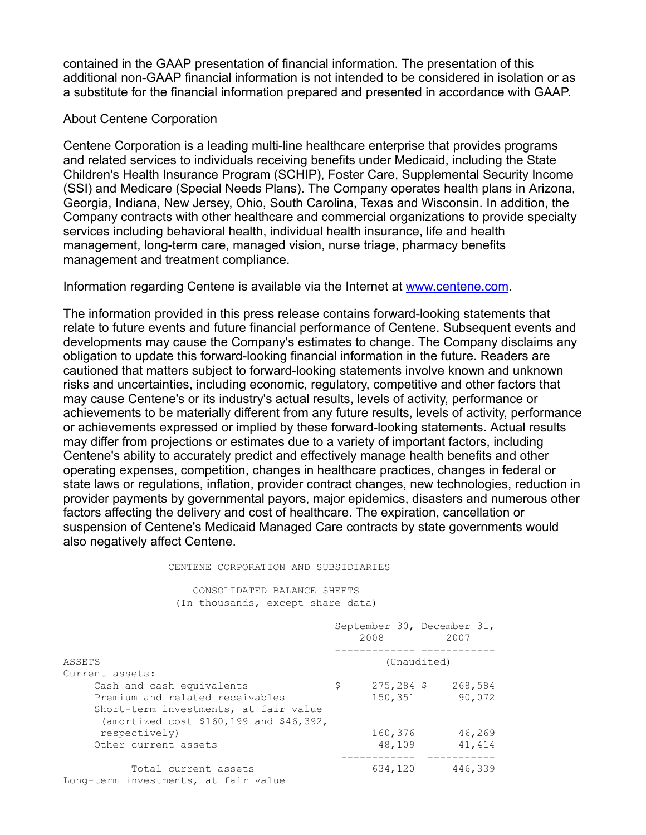contained in the GAAP presentation of financial information. The presentation of this additional non-GAAP financial information is not intended to be considered in isolation or as a substitute for the financial information prepared and presented in accordance with GAAP.

# About Centene Corporation

Centene Corporation is a leading multi-line healthcare enterprise that provides programs and related services to individuals receiving benefits under Medicaid, including the State Children's Health Insurance Program (SCHIP), Foster Care, Supplemental Security Income (SSI) and Medicare (Special Needs Plans). The Company operates health plans in Arizona, Georgia, Indiana, New Jersey, Ohio, South Carolina, Texas and Wisconsin. In addition, the Company contracts with other healthcare and commercial organizations to provide specialty services including behavioral health, individual health insurance, life and health management, long-term care, managed vision, nurse triage, pharmacy benefits management and treatment compliance.

Information regarding Centene is available via the Internet at [www.centene.com](http://www.centene.com/).

The information provided in this press release contains forward-looking statements that relate to future events and future financial performance of Centene. Subsequent events and developments may cause the Company's estimates to change. The Company disclaims any obligation to update this forward-looking financial information in the future. Readers are cautioned that matters subject to forward-looking statements involve known and unknown risks and uncertainties, including economic, regulatory, competitive and other factors that may cause Centene's or its industry's actual results, levels of activity, performance or achievements to be materially different from any future results, levels of activity, performance or achievements expressed or implied by these forward-looking statements. Actual results may differ from projections or estimates due to a variety of important factors, including Centene's ability to accurately predict and effectively manage health benefits and other operating expenses, competition, changes in healthcare practices, changes in federal or state laws or regulations, inflation, provider contract changes, new technologies, reduction in provider payments by governmental payors, major epidemics, disasters and numerous other factors affecting the delivery and cost of healthcare. The expiration, cancellation or suspension of Centene's Medicaid Managed Care contracts by state governments would also negatively affect Centene.

### CENTENE CORPORATION AND SUBSIDIARIES

 CONSOLIDATED BALANCE SHEETS (In thousands, except share data)

|                                         | September 30, December 31,<br>2008 |              |             | 2007    |
|-----------------------------------------|------------------------------------|--------------|-------------|---------|
|                                         |                                    |              |             |         |
| ASSETS                                  |                                    |              | (Unaudited) |         |
| Current assets:                         |                                    |              |             |         |
| Cash and cash equivalents               | \$                                 | $275,284$ \$ |             | 268,584 |
| Premium and related receivables         |                                    | 150,351      |             | 90,072  |
| Short-term investments, at fair value   |                                    |              |             |         |
| (amortized cost \$160,199 and \$46,392, |                                    |              |             |         |
| respectively)                           |                                    | 160,376      |             | 46,269  |
| Other current assets                    |                                    | 48,109       |             | 41,414  |
|                                         |                                    |              |             |         |
| Total current assets                    |                                    | 634,120      |             | 446,339 |
| Long-term investments, at fair value    |                                    |              |             |         |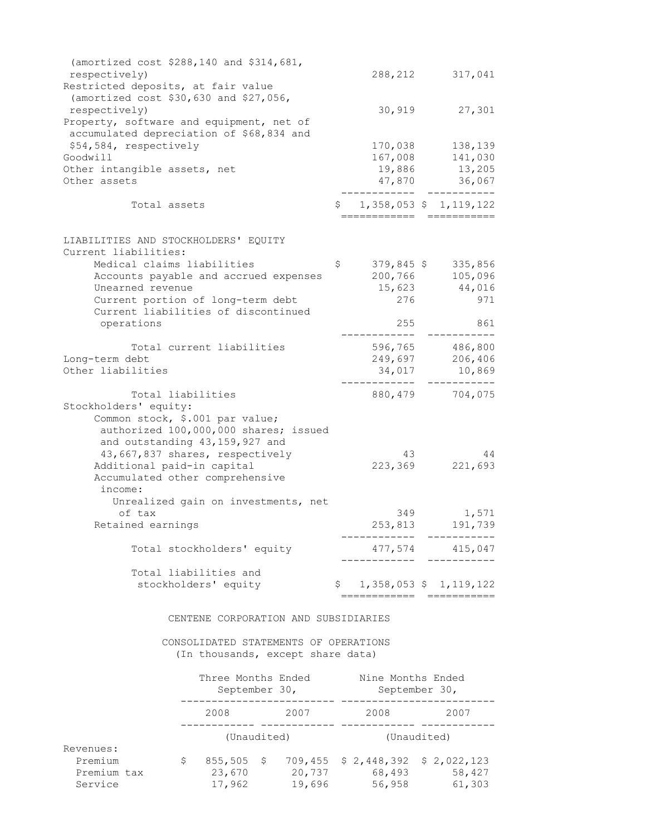| (amortized cost \$288,140 and \$314,681,<br>respectively)<br>Restricted deposits, at fair value                                       | 288,212                     | 317,041                   |
|---------------------------------------------------------------------------------------------------------------------------------------|-----------------------------|---------------------------|
| (amortized cost \$30,630 and \$27,056,<br>respectively)                                                                               | 30,919                      | 27,301                    |
| Property, software and equipment, net of<br>accumulated depreciation of \$68,834 and                                                  |                             |                           |
| \$54,584, respectively                                                                                                                | 170,038                     | 138,139                   |
| Goodwill                                                                                                                              | 167,008                     | 141,030                   |
| Other intangible assets, net                                                                                                          | 19,886                      | 13,205                    |
| Other assets                                                                                                                          | 47,870                      | 36,067                    |
| Total assets                                                                                                                          | ========                    | 1,358,053 \$ 1,119,122    |
| LIABILITIES AND STOCKHOLDERS' EQUITY                                                                                                  |                             |                           |
| Current liabilities:                                                                                                                  |                             |                           |
| Medical claims liabilities                                                                                                            | \$                          | 379,845 \$335,856         |
| Accounts payable and accrued expenses                                                                                                 | 200,766                     | 105,096                   |
| Unearned revenue                                                                                                                      | 15,623                      | 44,016                    |
| Current portion of long-term debt                                                                                                     | 276                         | 971                       |
| Current liabilities of discontinued                                                                                                   |                             |                           |
| operations                                                                                                                            | 255                         | 861                       |
| Total current liabilities                                                                                                             | 596,765                     | 486,800                   |
| Long-term debt                                                                                                                        | 249,697                     | 206,406                   |
| Other liabilities                                                                                                                     | 34,017                      | 10,869                    |
| Total liabilities                                                                                                                     |                             | 880, 479 704, 075         |
| Stockholders' equity:<br>Common stock, \$.001 par value;<br>authorized 100,000,000 shares; issued<br>and outstanding 43, 159, 927 and |                             |                           |
| 43,667,837 shares, respectively<br>Additional paid-in capital<br>Accumulated other comprehensive                                      | 43<br>223,369               | 44<br>221,693             |
| income:<br>Unrealized gain on investments, net                                                                                        |                             |                           |
| of tax<br>Retained earnings                                                                                                           | 349<br>253,813              | 1,571<br>191,739          |
|                                                                                                                                       |                             | -----------               |
| Total stockholders' equity                                                                                                            |                             | 477,574 415,047           |
| Total liabilities and                                                                                                                 |                             |                           |
| stockholders' equity                                                                                                                  | =======================     | $$1,358,053$$ $1,119,122$ |
| CENTENE CORPORATION AND SUBSIDIARIES                                                                                                  |                             |                           |
| CONSOLIDATED STATEMENTS OF OPERATIONS                                                                                                 |                             |                           |
| (In thousands, except share data)                                                                                                     |                             |                           |
| Three Months Ended Mine Months Ended                                                                                                  | September 30, September 30, |                           |
| 2008 2007 2008 2007                                                                                                                   |                             |                           |
| (Unaudited)                                                                                                                           | (Unaudited)                 |                           |
| Revenues:                                                                                                                             |                             |                           |
| 855,505 \$ 709,455 \$ 2,448,392 \$ 2,022,123<br>Premium<br>$\mathsf{S}$                                                               |                             |                           |

Premium tax  $23,670$ <br>
Premium tax  $23,670$ <br>
Premium tax  $23,670$ <br>  $17,962$   $19,696$   $56,958$   $61,303$ Service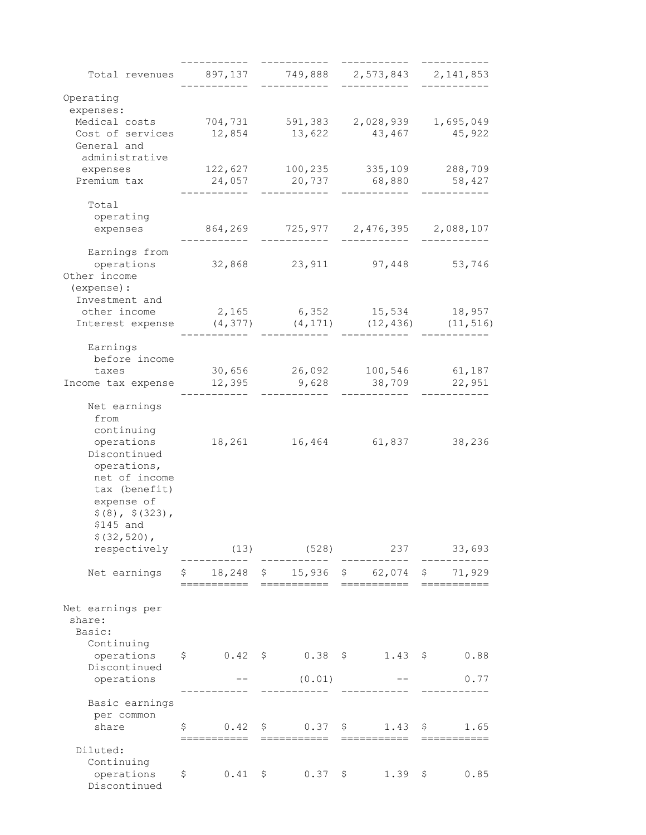| Total revenues 897,137 749,888 2,573,843 2,141,853 |              |               |                                                                                            |        |
|----------------------------------------------------|--------------|---------------|--------------------------------------------------------------------------------------------|--------|
| Operating                                          |              |               |                                                                                            |        |
| expenses:                                          |              |               |                                                                                            |        |
| Medical costs 704,731 591,383 2,028,939 1,695,049  |              |               |                                                                                            |        |
| Cost of services<br>General and                    | 12,854       | 13,622        | 43,467                                                                                     | 45,922 |
| administrative<br>expenses                         |              |               | 122,627 100,235 335,109 288,709                                                            |        |
| Premium tax                                        |              | 24,057 20,737 | 68,880 58,427                                                                              |        |
|                                                    |              |               |                                                                                            |        |
| Total                                              |              |               |                                                                                            |        |
| operating                                          |              |               |                                                                                            |        |
| expenses                                           |              |               | 864,269 725,977 2,476,395 2,088,107                                                        |        |
| Earnings from                                      |              |               |                                                                                            |        |
| operations                                         |              |               | 32,868 23,911 97,448 53,746                                                                |        |
| Other income                                       |              |               |                                                                                            |        |
| (expense) :<br>Investment and                      |              |               |                                                                                            |        |
| other income                                       |              |               | 2,165 6,352 15,534 18,957                                                                  |        |
| Interest expense                                   | (4, 377)     |               | $(4, 171)$ $(12, 436)$ $(11, 516)$                                                         |        |
|                                                    |              |               |                                                                                            |        |
| Earnings<br>before income                          |              |               |                                                                                            |        |
| taxes                                              |              |               | 30,656 26,092 100,546 61,187                                                               |        |
| Income tax expense 12,395 9,628                    |              |               | 38,709 22,951                                                                              |        |
| Net earnings                                       |              |               |                                                                                            |        |
| from                                               |              |               |                                                                                            |        |
| continuing                                         |              |               |                                                                                            |        |
| operations                                         |              |               | 18,261 16,464 61,837                                                                       | 38,236 |
| Discontinued                                       |              |               |                                                                                            |        |
| operations,                                        |              |               |                                                                                            |        |
| net of income<br>tax (benefit)                     |              |               |                                                                                            |        |
| expense of                                         |              |               |                                                                                            |        |
| \$(8), \$(323),                                    |              |               |                                                                                            |        |
| \$145 and                                          |              |               |                                                                                            |        |
| $$ (32, 520)$ ,                                    |              |               |                                                                                            |        |
| respectively                                       |              |               | $(13)$ $(528)$ 237                                                                         | 33,693 |
| Net earnings                                       |              |               | $$18,248$ \$ 15,936 \$ 62,074 \$ 71,929                                                    |        |
|                                                    |              |               |                                                                                            |        |
| Net earnings per                                   |              |               |                                                                                            |        |
| share:                                             |              |               |                                                                                            |        |
| Basic:                                             |              |               |                                                                                            |        |
| Continuing                                         |              |               |                                                                                            |        |
| operations<br>Discontinued                         |              |               | $$0.42$ \$ $0.38$ \$ $1.43$ \$ $0.88$                                                      |        |
| operations                                         |              | (0.01)        |                                                                                            | 0.77   |
|                                                    |              |               |                                                                                            |        |
| Basic earnings                                     |              |               |                                                                                            |        |
| per common                                         |              |               |                                                                                            |        |
| share                                              |              |               | $\begin{array}{ccccccccc}\n\xi & 0.42 & \xi & 0.37 & \xi & 1.43 & \xi & 1.65\n\end{array}$ |        |
| Diluted:                                           |              |               |                                                                                            |        |
| Continuing                                         |              |               |                                                                                            |        |
| operations                                         | $\mathsf{S}$ |               | $0.41 \quad \xi \qquad 0.37 \quad \xi \qquad 1.39 \quad \xi$                               | 0.85   |
| Discontinued                                       |              |               |                                                                                            |        |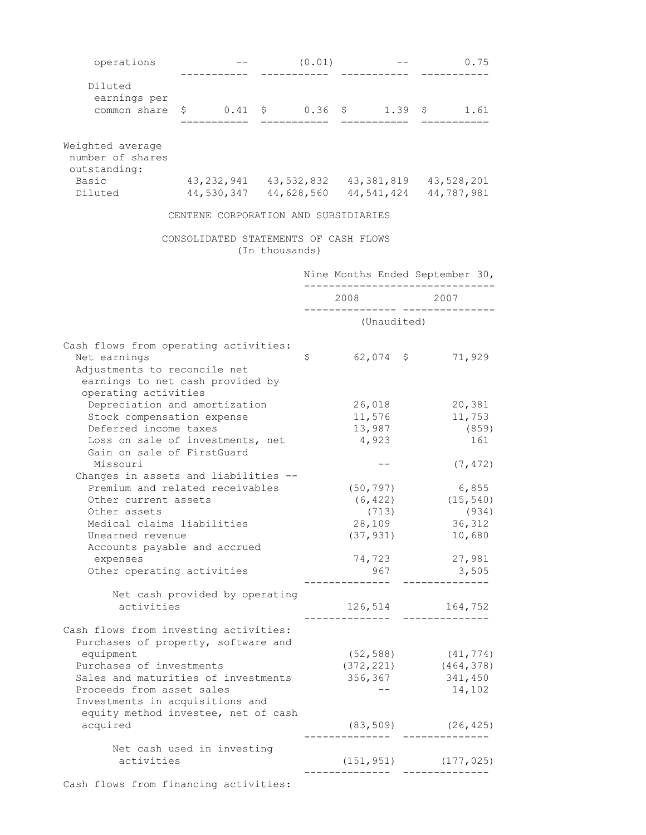| operations                                               |                                                                                                                    |                | (0.01) |                                                                  |                 |                 | 0.75      |  |
|----------------------------------------------------------|--------------------------------------------------------------------------------------------------------------------|----------------|--------|------------------------------------------------------------------|-----------------|-----------------|-----------|--|
| Diluted                                                  |                                                                                                                    |                |        |                                                                  |                 |                 |           |  |
| earnings per                                             |                                                                                                                    |                |        |                                                                  |                 |                 |           |  |
| common share                                             | $\begin{array}{ccccccccc}\n\text{\$} & 0.41 & \text{\$} & 0.36 & \text{\$} & 1.39 & \text{\$} & 1.61\n\end{array}$ |                |        |                                                                  |                 |                 |           |  |
|                                                          |                                                                                                                    |                |        | ===========                                                      |                 | ===========     |           |  |
| Weighted average<br>number of shares<br>outstanding:     |                                                                                                                    |                |        |                                                                  |                 |                 |           |  |
| Basic<br>Diluted                                         | 43, 232, 941 43, 532, 832 43, 381, 819 43, 528, 201<br>$44,530,347$ $44,628,560$ $44,541,424$ $44,787,981$         |                |        |                                                                  |                 |                 |           |  |
|                                                          | CENTENE CORPORATION AND SUBSIDIARIES                                                                               |                |        |                                                                  |                 |                 |           |  |
|                                                          | CONSOLIDATED STATEMENTS OF CASH FLOWS                                                                              | (In thousands) |        |                                                                  |                 |                 |           |  |
|                                                          |                                                                                                                    |                |        | Nine Months Ended September 30,<br>----------------------------- |                 |                 |           |  |
|                                                          |                                                                                                                    |                |        | 2008                                                             |                 | 2007            |           |  |
|                                                          |                                                                                                                    |                |        | (Unaudited)                                                      |                 |                 |           |  |
| Cash flows from operating activities:                    |                                                                                                                    |                |        |                                                                  |                 |                 |           |  |
| Net earnings                                             |                                                                                                                    |                | \$     | $62,074$ \$                                                      |                 |                 | 71,929    |  |
| Adjustments to reconcile net                             |                                                                                                                    |                |        |                                                                  |                 |                 |           |  |
| earnings to net cash provided by<br>operating activities |                                                                                                                    |                |        |                                                                  |                 |                 |           |  |
| Depreciation and amortization                            |                                                                                                                    |                |        | 26,018                                                           |                 |                 | 20,381    |  |
| Stock compensation expense                               |                                                                                                                    |                |        | 11,576                                                           |                 |                 | 11,753    |  |
| Deferred income taxes                                    |                                                                                                                    |                |        |                                                                  | 13,987<br>(859) |                 |           |  |
| Loss on sale of investments, net                         |                                                                                                                    |                |        | 4,923                                                            |                 |                 |           |  |
| Gain on sale of FirstGuard<br>Missouri                   |                                                                                                                    |                |        |                                                                  |                 |                 | (7, 472)  |  |
| Changes in assets and liabilities --                     |                                                                                                                    |                |        |                                                                  |                 |                 |           |  |
| Premium and related receivables                          |                                                                                                                    |                |        | (50, 797)                                                        |                 |                 | 6,855     |  |
| Other current assets                                     |                                                                                                                    |                |        | (6, 422)                                                         |                 |                 | (15, 540) |  |
| Other assets                                             |                                                                                                                    |                |        | (713)<br>28,109                                                  |                 |                 | (934)     |  |
| Medical claims liabilities                               |                                                                                                                    |                |        | 36,312                                                           |                 |                 |           |  |
| Unearned revenue                                         |                                                                                                                    |                |        | (37, 931)                                                        |                 |                 | 10,680    |  |
| Accounts payable and accrued                             |                                                                                                                    |                |        |                                                                  |                 |                 |           |  |
| expenses<br>Other operating activities                   |                                                                                                                    |                |        | 74,723<br>967                                                    |                 | 27,981<br>3,505 |           |  |
|                                                          |                                                                                                                    |                |        |                                                                  |                 | -----------     |           |  |
|                                                          | Net cash provided by operating                                                                                     |                |        |                                                                  |                 |                 |           |  |
| activities                                               |                                                                                                                    |                |        | 126,514 164,752                                                  |                 |                 |           |  |
|                                                          |                                                                                                                    |                |        |                                                                  |                 |                 |           |  |
| Cash flows from investing activities:                    |                                                                                                                    |                |        |                                                                  |                 |                 |           |  |
| Purchases of property, software and                      |                                                                                                                    |                |        |                                                                  |                 |                 |           |  |
| equipment<br>Purchases of investments                    |                                                                                                                    |                |        | $(52, 588)$ $(41, 774)$<br>$(372, 221)$ $(464, 378)$             |                 |                 |           |  |
| Sales and maturities of investments                      |                                                                                                                    |                |        | 356,367                                                          |                 |                 | 341,450   |  |
| Proceeds from asset sales                                |                                                                                                                    |                |        | $- -$                                                            |                 |                 | 14,102    |  |
| Investments in acquisitions and                          |                                                                                                                    |                |        |                                                                  |                 |                 |           |  |
| equity method investee, net of cash                      |                                                                                                                    |                |        |                                                                  |                 |                 |           |  |
| acquired                                                 |                                                                                                                    |                |        | $(83, 509)$ $(26, 425)$                                          |                 |                 |           |  |
|                                                          |                                                                                                                    |                |        |                                                                  |                 |                 |           |  |
|                                                          | Net cash used in investing                                                                                         |                |        |                                                                  |                 |                 |           |  |
| activities                                               |                                                                                                                    |                |        | $(151, 951)$ $(177, 025)$                                        |                 |                 |           |  |
|                                                          |                                                                                                                    |                |        |                                                                  |                 | __ _________    |           |  |
| Cash flows from financing activities:                    |                                                                                                                    |                |        |                                                                  |                 |                 |           |  |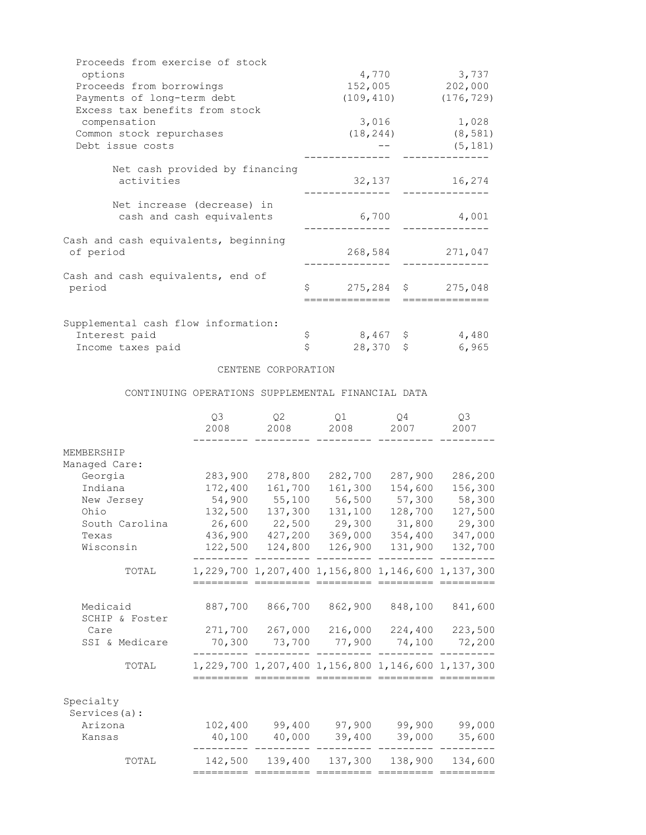| Proceeds from exercise of stock      |                   |                    |
|--------------------------------------|-------------------|--------------------|
| options                              | 4,770             | 3,737              |
| Proceeds from borrowings             |                   | 152,005<br>202,000 |
| Payments of long-term debt           | (109, 410)        | (176, 729)         |
| Excess tax benefits from stock       |                   |                    |
| compensation                         | 3,016             | 1,028              |
| Common stock repurchases             | (18, 244)         | (8, 581)           |
| Debt issue costs                     |                   | (5, 181)           |
|                                      |                   |                    |
| Net cash provided by financing       |                   |                    |
| activities                           | 32,137            | 16,274             |
|                                      |                   |                    |
| Net increase (decrease) in           |                   |                    |
| cash and cash equivalents            | 6,700             | 4,001              |
| Cash and cash equivalents, beginning |                   |                    |
| of period                            | 268,584           | 271,047            |
|                                      |                   |                    |
| Cash and cash equivalents, end of    |                   |                    |
| period                               | Ŝ                 | 275,284 \$275,048  |
|                                      |                   |                    |
|                                      |                   |                    |
| Supplemental cash flow information:  |                   |                    |
| Interest paid                        | \$<br>$8,467$ \$  | 4,480              |
| Income taxes paid                    | \$<br>$28,370$ \$ | 6,965              |

### CENTENE CORPORATION

CONTINUING OPERATIONS SUPPLEMENTAL FINANCIAL DATA

|                                                                         | Q3<br>2008                              | 02<br>2008                              | 01<br>2008                              | $\circ$ 4<br>2007                                           | O <sub>3</sub><br>2007                  |
|-------------------------------------------------------------------------|-----------------------------------------|-----------------------------------------|-----------------------------------------|-------------------------------------------------------------|-----------------------------------------|
| MEMBERSHIP<br>Managed Care:<br>Georgia<br>Indiana<br>New Jersey<br>Ohio | 283,900<br>172,400<br>54,900<br>132,500 | 278,800<br>161,700<br>55,100<br>137,300 | 282,700<br>161,300<br>56,500<br>131,100 | 287,900<br>154,600<br>57,300<br>128,700                     | 286,200<br>156,300<br>58,300<br>127,500 |
| South Carolina<br>Texas<br>Wisconsin                                    | 26,600<br>436,900<br>122,500            | 22,500<br>427,200<br>124,800            | 29,300<br>369,000<br>126,900            | 31,800<br>354,400<br>131,900                                | 29,300<br>347,000<br>132,700            |
| TOTAL                                                                   |                                         |                                         |                                         | 1, 229, 700 1, 207, 400 1, 156, 800 1, 146, 600 1, 137, 300 |                                         |
| Medicaid<br>SCHIP & Foster<br>Care<br>SSI & Medicare                    | 887,700<br>271,700<br>70,300            | 866,700<br>267,000<br>73,700            | 862,900<br>216,000<br>77,900            | 848,100<br>224,400<br>74,100                                | 841,600<br>223,500<br>72,200            |
| TOTAL                                                                   |                                         |                                         |                                         | 1, 229, 700 1, 207, 400 1, 156, 800 1, 146, 600 1, 137, 300 |                                         |
| Specialty<br>Services (a) :<br>Arizona<br>Kansas                        | 102,400<br>40,100                       | 99,400<br>40,000                        | 97,900<br>39,400                        | 99,900<br>39,000                                            | 99,000<br>35,600                        |
| TOTAL                                                                   | 142,500                                 | 139,400                                 | 137,300                                 | 138,900                                                     | 134,600                                 |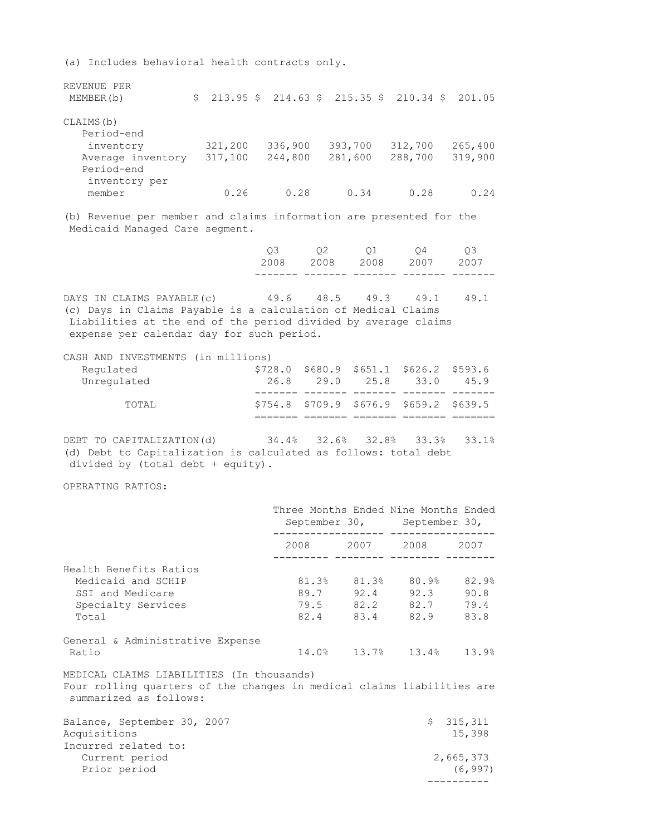(a) Includes behavioral health contracts only.

| REVENUE PER       |         |         |         |                                                                                |         |
|-------------------|---------|---------|---------|--------------------------------------------------------------------------------|---------|
| MEMBER(b)         |         |         |         | $$213.95 \text{ } $214.63 \text{ } $215.35 \text{ } $210.34 \text{ } $201.05$$ |         |
| CLAIMS (b)        |         |         |         |                                                                                |         |
| Period-end        |         |         |         |                                                                                |         |
| inventory         | 321,200 | 336,900 | 393,700 | 312,700                                                                        | 265,400 |
| Average inventory | 317,100 | 244,800 | 281,600 | 288,700                                                                        | 319,900 |
| Period-end        |         |         |         |                                                                                |         |
| inventory per     |         |         |         |                                                                                |         |
| member            | 0.26    | 0.28    | 0.34    | 0.28                                                                           | 0.24    |

(b) Revenue per member and claims information are presented for the Medicaid Managed Care segment.

|  | 2008 2008 2008 2007 2007 |  |  |
|--|--------------------------|--|--|
|  | 03 02 01 04 03           |  |  |

======= ======= ======= ======= =======

DAYS IN CLAIMS PAYABLE(c) 49.6 48.5 49.3 49.1 49.1 (c) Days in Claims Payable is a calculation of Medical Claims Liabilities at the end of the period divided by average claims expense per calendar day for such period.

| CASH AND INVESTMENTS (in millions) |      |           |                                              |      |
|------------------------------------|------|-----------|----------------------------------------------|------|
| Requlated                          |      |           | $$728.0$ \$680.9 \$651.1 \$626.2 \$593.6     |      |
| Unregulated                        | 26.8 | 29.0 25.8 | $-33.0$                                      | 45.9 |
|                                    |      |           |                                              |      |
| TOTAL.                             |      |           | $$754.8$ $$709.9$ $$676.9$ $$659.2$ $$639.5$ |      |

DEBT TO CAPITALIZATION(d) 34.4% 32.6% 32.8% 33.3% 33.1% (d) Debt to Capitalization is calculated as follows: total debt divided by (total debt + equity).

OPERATING RATIOS:

|                                                                                                                                               | Three Months Ended Nine Months Ended | September 30, September 30, |                     |
|-----------------------------------------------------------------------------------------------------------------------------------------------|--------------------------------------|-----------------------------|---------------------|
|                                                                                                                                               | __________ ________ _______ ______   | 2008 2007 2008 2007         |                     |
| Health Benefits Ratios                                                                                                                        |                                      |                             |                     |
| Medicaid and SCHIP                                                                                                                            |                                      | 81.3% 81.3% 80.9% 82.9%     |                     |
| SSI and Medicare                                                                                                                              |                                      | 89.7 92.4 92.3 90.8         |                     |
| Specialty Services                                                                                                                            |                                      | 79.5 82.2 82.7 79.4         |                     |
| Total                                                                                                                                         |                                      | 82.4 83.4 82.9 83.8         |                     |
| General & Administrative Expense                                                                                                              |                                      |                             |                     |
| Ratio                                                                                                                                         |                                      | 14.0% 13.7% 13.4% 13.9%     |                     |
| MEDICAL CLAIMS LIABILITIES (In thousands)<br>Four rolling quarters of the changes in medical claims liabilities are<br>summarized as follows: |                                      |                             |                     |
| Balance, September 30, 2007<br>Acquisitions<br>Incurred related to:                                                                           |                                      |                             | \$315,311<br>15,398 |
| Current period                                                                                                                                |                                      |                             | 2,665,373           |
| Prior period                                                                                                                                  |                                      |                             | (6, 997)            |
|                                                                                                                                               |                                      |                             |                     |